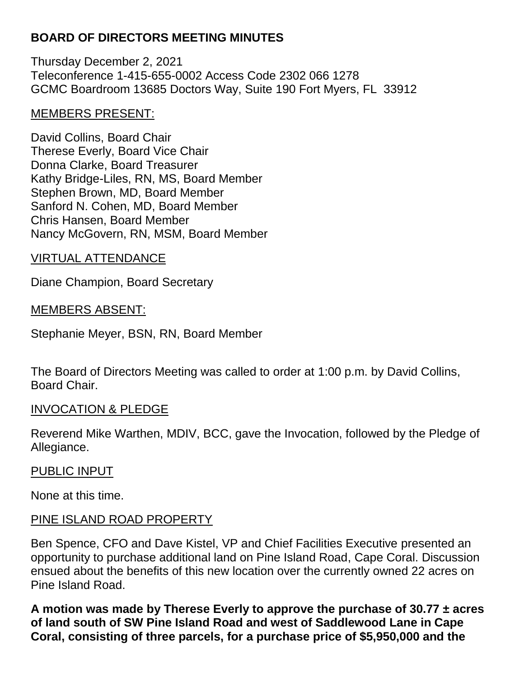# **BOARD OF DIRECTORS MEETING MINUTES**

Thursday December 2, 2021 Teleconference 1-415-655-0002 Access Code 2302 066 1278 GCMC Boardroom 13685 Doctors Way, Suite 190 Fort Myers, FL 33912

### MEMBERS PRESENT:

David Collins, Board Chair Therese Everly, Board Vice Chair Donna Clarke, Board Treasurer Kathy Bridge-Liles, RN, MS, Board Member Stephen Brown, MD, Board Member Sanford N. Cohen, MD, Board Member Chris Hansen, Board Member Nancy McGovern, RN, MSM, Board Member

### VIRTUAL ATTENDANCE

Diane Champion, Board Secretary

### MEMBERS ABSENT:

Stephanie Meyer, BSN, RN, Board Member

The Board of Directors Meeting was called to order at 1:00 p.m. by David Collins, Board Chair.

### INVOCATION & PLEDGE

Reverend Mike Warthen, MDIV, BCC, gave the Invocation, followed by the Pledge of Allegiance.

### PUBLIC INPUT

None at this time.

## PINE ISLAND ROAD PROPERTY

Ben Spence, CFO and Dave Kistel, VP and Chief Facilities Executive presented an opportunity to purchase additional land on Pine Island Road, Cape Coral. Discussion ensued about the benefits of this new location over the currently owned 22 acres on Pine Island Road.

**A motion was made by Therese Everly to approve the purchase of 30.77 ± acres of land south of SW Pine Island Road and west of Saddlewood Lane in Cape Coral, consisting of three parcels, for a purchase price of \$5,950,000 and the**